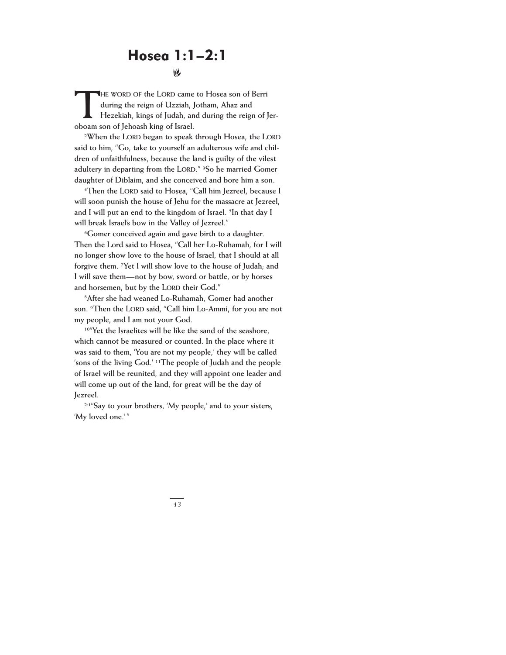## Hosea 1:1–2:1

!

HE WORD OF the LORD came to Hosea son of Berri<br>during the reign of Uzziah, Jotham, Ahaz and<br>Hezekiah, kings of Judah, and during the reign of Jer**during the reign of Uzziah, Jotham, Ahaz and oboam son of Jehoash king of Israel.**

**2When the LORD began to speak through Hosea, the LORD said to him, "Go, take to yourself an adulterous wife and children of unfaithfulness, because the land is guilty of the vilest adultery in departing from the LORD." 3So he married Gomer daughter of Diblaim, and she conceived and bore him a son.**

**4Then the LORD said to Hosea, "Call him Jezreel, because I will soon punish the house of Jehu for the massacre at Jezreel, and I will put an end to the kingdom of Israel. 5In that day I will break Israel's bow in the Valley of Jezreel."**

**6Gomer conceived again and gave birth to a daughter. Then the Lord said to Hosea, "Call her Lo-Ruhamah, for I will no longer show love to the house of Israel, that I should at all forgive them. 7Yet I will show love to the house of Judah; and I will save them—not by bow, sword or battle, or by horses and horsemen, but by the LORD their God."**

**8After she had weaned Lo-Ruhamah, Gomer had another son. 9Then the LORD said, "Call him Lo-Ammi, for you are not my people, and I am not your God.**

**10"Yet the Israelites will be like the sand of the seashore, which cannot be measured or counted. In the place where it was said to them, 'You are not my people,' they will be called 'sons of the living God.' 11The people of Judah and the people of Israel will be reunited, and they will appoint one leader and will come up out of the land, for great will be the day of Jezreel.**

**2:1"Say to your brothers, 'My people,' and to your sisters, 'My loved one.'"**

*43*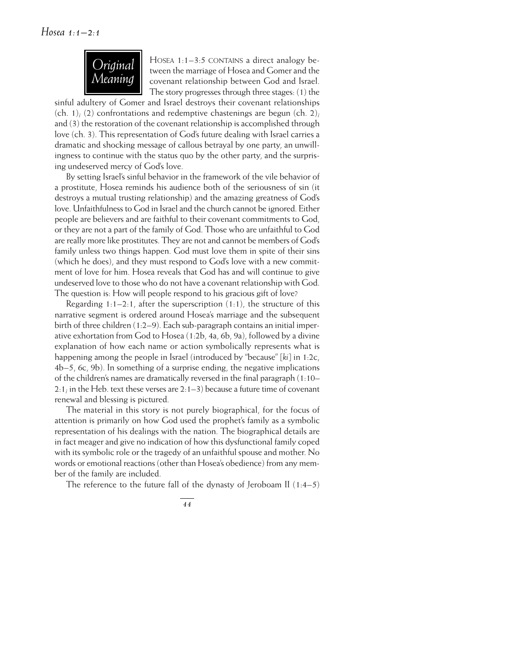

HOSEA 1:1-3:5 CONTAINS a direct analogy between the marriage of Hosea and Gomer and the covenant relationship between God and Israel. The story progresses through three stages: (1) the

sinful adultery of Gomer and Israel destroys their covenant relationships  $(ch. 1)$ ; (2) confrontations and redemptive chastenings are begun  $(ch. 2)$ ; and (3) the restoration of the covenant relationship is accomplished through love (ch. 3). This representation of God's future dealing with Israel carries a dramatic and shocking message of callous betrayal by one party, an unwillingness to continue with the status quo by the other party, and the surprising undeserved mercy of God's love.

By setting Israel's sinful behavior in the framework of the vile behavior of a prostitute, Hosea reminds his audience both of the seriousness of sin (it destroys a mutual trusting relationship) and the amazing greatness of God's love. Unfaithfulness to God in Israel and the church cannot be ignored. Either people are believers and are faithful to their covenant commitments to God, or they are not a part of the family of God. Those who are unfaithful to God are really more like prostitutes. They are not and cannot be members of God's family unless two things happen. God must love them in spite of their sins (which he does), and they must respond to God's love with a new commitment of love for him. Hosea reveals that God has and will continue to give undeserved love to those who do not have a covenant relationship with God. The question is: How will people respond to his gracious gift of love?

Regarding  $1:1-2:1$ , after the superscription  $(1:1)$ , the structure of this narrative segment is ordered around Hosea's marriage and the subsequent birth of three children (1:2–9). Each sub-paragraph contains an initial imperative exhortation from God to Hosea (1:2b, 4a, 6b, 9a), followed by a divine explanation of how each name or action symbolically represents what is happening among the people in Israel (introduced by "because" [*ki*] in 1:2c, 4b–5, 6c, 9b). In something of a surprise ending, the negative implications of the children's names are dramatically reversed in the final paragraph (1:10– 2:1; in the Heb. text these verses are  $2:1-3$ ) because a future time of covenant renewal and blessing is pictured.

The material in this story is not purely biographical, for the focus of attention is primarily on how God used the prophet's family as a symbolic representation of his dealings with the nation. The biographical details are in fact meager and give no indication of how this dysfunctional family coped with its symbolic role or the tragedy of an unfaithful spouse and mother. No words or emotional reactions (other than Hosea's obedience) from any member of the family are included.

The reference to the future fall of the dynasty of Jeroboam II  $(1:4-5)$ 

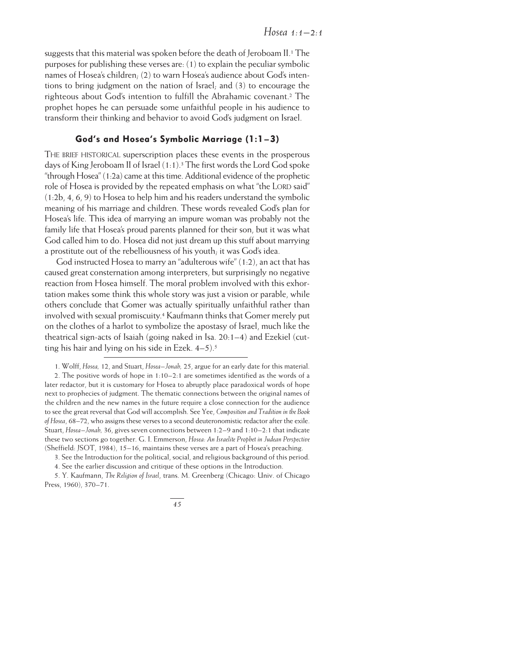suggests that this material was spoken before the death of Jeroboam II. <sup>1</sup> The purposes for publishing these verses are: (1) to explain the peculiar symbolic names of Hosea's children; (2) to warn Hosea's audience about God's intentions to bring judgment on the nation of Israel; and (3) to encourage the righteous about God's intention to fulfill the Abrahamic covenant.2 The prophet hopes he can persuade some unfaithful people in his audience to transform their thinking and behavior to avoid God's judgment on Israel.

## God's and Hosea's Symbolic Marriage (1:1 – 3)

THE BRIEF HISTORICAL superscription places these events in the prosperous days of King Jeroboam II of Israel (1:1). <sup>3</sup> The first words the Lord God spoke "through  $Hosea"$  (1:2a) came at this time. Additional evidence of the prophetic role of Hosea is provided by the repeated emphasis on what "the LORD said" (1:2b, 4, 6, 9) to Hosea to help him and his readers understand the symbolic meaning of his marriage and children. These words revealed God's plan for Hosea's life. This idea of marrying an impure woman was probably not the family life that Hosea's proud parents planned for their son, but it was what God called him to do. Hosea did not just dream up this stuff about marrying a prostitute out of the rebelliousness of his youth; it was God's idea.

God instructed Hosea to marry an "adulterous wife" (1:2), an act that has caused great consternation among interpreters, but surprisingly no negative reaction from Hosea himself. The moral problem involved with this exhortation makes some think this whole story was just a vision or parable, while others conclude that Gomer was actually spiritually unfaithful rather than involved with sexual promiscuity. <sup>4</sup> Kaufmann thinks that Gomer merely put on the clothes of a harlot to symbolize the apostasy of Israel, much like the theatrical sign-acts of Isaiah (going naked in Isa. 20:1–4) and Ezekiel (cutting his hair and lying on his side in Ezek. 4–5). 5

3. See the Introduction for the political, social, and religious background of this period.

4. See the earlier discussion and critique of these options in the Introduction.

5. Y. Kaufmann, *The Religion of Israel*, trans. M. Greenberg (Chicago: Univ. of Chicago Press, 1960), 370–71.

<sup>1.</sup> Wolff, *Hosea,* 12, and Stuart, *Hosea–Jonah,* 25, argue for an early date for this material. 2. The positive words of hope in 1:10–2:1 are sometimes identified as the words of a later redactor, but it is customary for Hosea to abruptly place paradoxical words of hope next to prophecies of judgment. The thematic connections between the original names of the children and the new names in the future require a close connection for the audience to see the great reversal that God will accomplish. See Yee, *Composition and Tradition in the Book of Hosea*, 68–72, who assigns these verses to a second deuteronomistic redactor after the exile. Stuart, *Hosea–Jonah,* 36, gives seven connections between 1:2–9 and 1:10–2:1 that indicate these two sections go together. G. I. Emmerson, *Hosea: An Israelite Prophet in Judean Perspective* (Sheffield: JSOT, 1984), 15–16, maintains these verses are a part of Hosea's preaching.

*<sup>45</sup>*